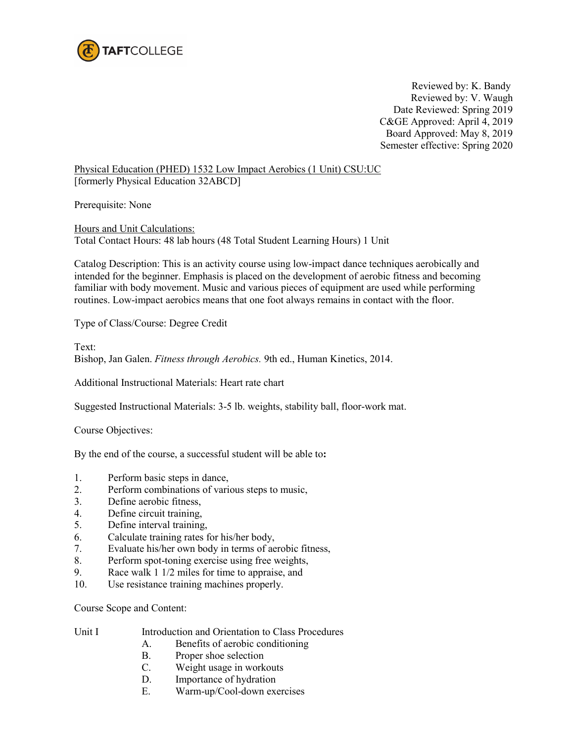

Reviewed by: K. Bandy Reviewed by: V. Waugh Date Reviewed: Spring 2019 C&GE Approved: April 4, 2019 Board Approved: May 8, 2019 Semester effective: Spring 2020

Physical Education (PHED) 1532 Low Impact Aerobics (1 Unit) CSU:UC [formerly Physical Education 32ABCD]

Prerequisite: None

Hours and Unit Calculations: Total Contact Hours: 48 lab hours (48 Total Student Learning Hours) 1 Unit

Catalog Description: This is an activity course using low-impact dance techniques aerobically and intended for the beginner. Emphasis is placed on the development of aerobic fitness and becoming familiar with body movement. Music and various pieces of equipment are used while performing routines. Low-impact aerobics means that one foot always remains in contact with the floor.

Type of Class/Course: Degree Credit

Text: Bishop, Jan Galen. *Fitness through Aerobics.* 9th ed., Human Kinetics, 2014.

Additional Instructional Materials: Heart rate chart

Suggested Instructional Materials: 3-5 lb. weights, stability ball, floor-work mat.

Course Objectives:

By the end of the course, a successful student will be able to**:**

- 1. Perform basic steps in dance,
- 2. Perform combinations of various steps to music,
- 3. Define aerobic fitness,
- 4. Define circuit training,
- 5. Define interval training,
- 6. Calculate training rates for his/her body,
- 7. Evaluate his/her own body in terms of aerobic fitness,
- 8. Perform spot-toning exercise using free weights,
- 9. Race walk 1 1/2 miles for time to appraise, and
- 10. Use resistance training machines properly.

Course Scope and Content:

- Unit I Introduction and Orientation to Class Procedures
	- A. Benefits of aerobic conditioning
	- B. Proper shoe selection
	- C. Weight usage in workouts
	- D. Importance of hydration
	- E. Warm-up/Cool-down exercises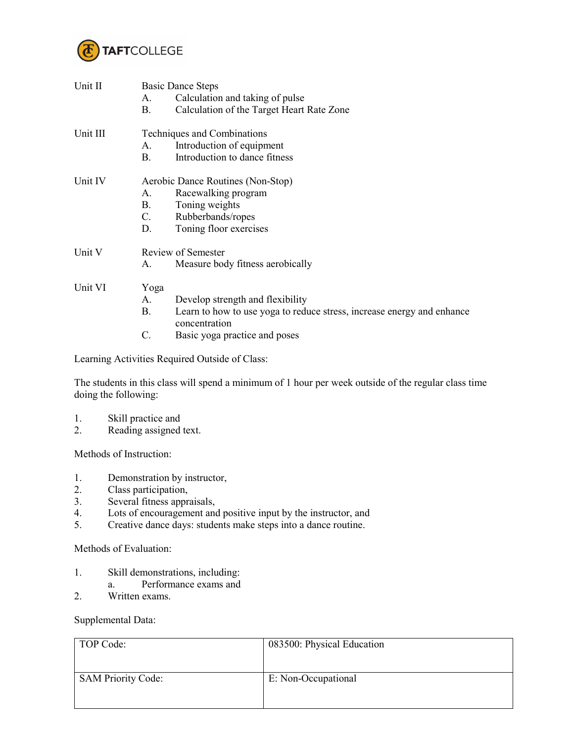

| Unit II  | <b>Basic Dance Steps</b>          |                                                                                         |  |
|----------|-----------------------------------|-----------------------------------------------------------------------------------------|--|
|          | А.                                | Calculation and taking of pulse                                                         |  |
|          | Β.                                | Calculation of the Target Heart Rate Zone                                               |  |
| Unit III | Techniques and Combinations       |                                                                                         |  |
|          | A.                                | Introduction of equipment                                                               |  |
|          | В.                                | Introduction to dance fitness                                                           |  |
| Unit IV  | Aerobic Dance Routines (Non-Stop) |                                                                                         |  |
|          | $A_{-}$                           | Racewalking program                                                                     |  |
|          | B.                                | Toning weights                                                                          |  |
|          | $C_{\cdot}$                       | Rubberbands/ropes                                                                       |  |
|          | D.                                | Toning floor exercises                                                                  |  |
| Unit V   | Review of Semester                |                                                                                         |  |
|          | А.                                | Measure body fitness aerobically                                                        |  |
| Unit VI  | Yoga                              |                                                                                         |  |
|          | A.                                | Develop strength and flexibility                                                        |  |
|          | B.                                | Learn to how to use yoga to reduce stress, increase energy and enhance<br>concentration |  |
|          | C.                                | Basic yoga practice and poses                                                           |  |
|          |                                   |                                                                                         |  |

Learning Activities Required Outside of Class:

The students in this class will spend a minimum of 1 hour per week outside of the regular class time doing the following:

- 1. Skill practice and<br>2. Reading assigned
- Reading assigned text.

Methods of Instruction:

- 1. Demonstration by instructor,
- 2. Class participation,
- 3. Several fitness appraisals,
- 4. Lots of encouragement and positive input by the instructor, and
- 5. Creative dance days: students make steps into a dance routine.

Methods of Evaluation:

- 1. Skill demonstrations, including:
- a. Performance exams and
- 2. Written exams.

Supplemental Data:

| TOP Code:                 | 083500: Physical Education |
|---------------------------|----------------------------|
| <b>SAM Priority Code:</b> | E: Non-Occupational        |